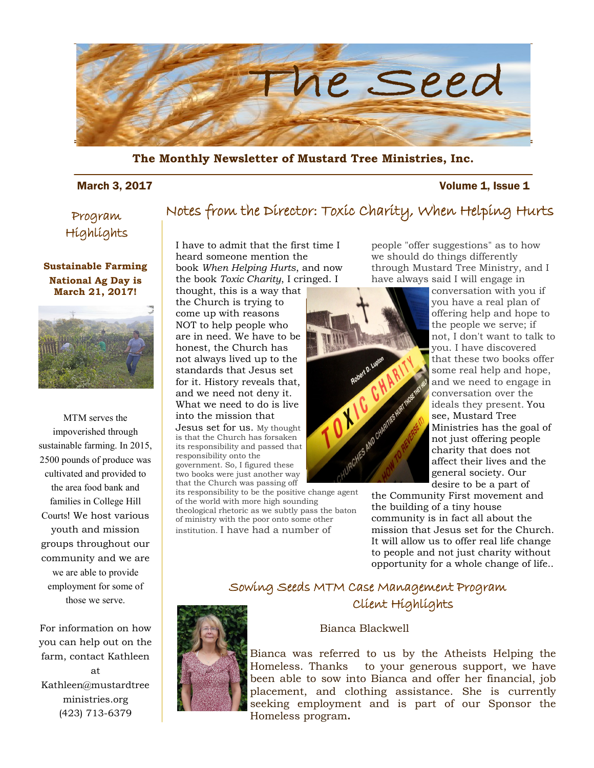

**The Monthly Newsletter of Mustard Tree Ministries, Inc.** 

#### March 3, 2017 **Volume 1, Issue 1**

### Program Highlights

#### **Sustainable Farming National Ag Day is March 21, 2017!**



MTM serves the impoverished through sustainable farming. In 2015, 2500 pounds of produce was cultivated and provided to the area food bank and families in College Hill Courts! We host various youth and mission groups throughout our community and we are we are able to provide employment for some of those we serve.

For information on how you can help out on the farm, contact Kathleen at Kathleen@mustardtree ministries.org (423) 713-6379

### Notes from the Director: Toxic Charity, When Helping Hurts

I have to admit that the first time I heard someone mention the book *When Helping Hurts*, and now the book *Toxic Charity*, I cringed. I

thought, this is a way that the Church is trying to come up with reasons NOT to help people who are in need. We have to be honest, the Church has not always lived up to the standards that Jesus set for it. History reveals that, and we need not deny it. What we need to do is live into the mission that Jesus set for us. My thought is that the Church has forsaken its responsibility and passed that responsibility onto the government. So, I figured these two books were just another way that the Church was passing off

its responsibility to be the positive change agent of the world with more high sounding theological rhetoric as we subtly pass the baton of ministry with the poor onto some other institution. I have had a number of

people "offer suggestions" as to how we should do things differently through Mustard Tree Ministry, and I have always said I will engage in

![](_page_0_Picture_14.jpeg)

conversation with you if you have a real plan of offering help and hope to the people we serve; if not, I don't want to talk to you. I have discovered that these two books offer some real help and hope, and we need to engage in conversation over the ideals they present. You see, Mustard Tree Ministries has the goal of not just offering people charity that does not affect their lives and the general society. Our desire to be a part of

the Community First movement and the building of a tiny house community is in fact all about the mission that Jesus set for the Church. It will allow us to offer real life change to people and not just charity without opportunity for a whole change of life..

### Sowing Seeds MTM Case Management Program Client Highlights

![](_page_0_Picture_18.jpeg)

#### Bianca Blackwell

Bianca was referred to us by the Atheists Helping the Homeless. Thanks to your generous support, we have been able to sow into Bianca and offer her financial, job placement, and clothing assistance. She is currently seeking employment and is part of our Sponsor the Homeless program**.**